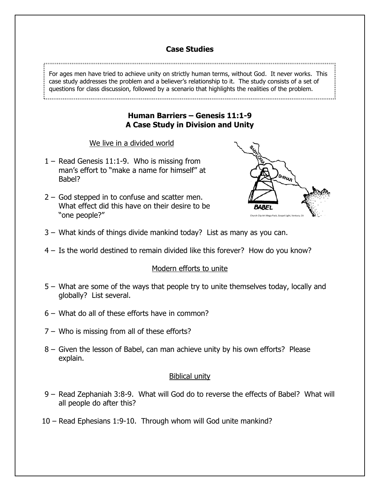# **Case Studies**

For ages men have tried to achieve unity on strictly human terms, without God. It never works. This case study addresses the problem and a believer's relationship to it. The study consists of a set of questions for class discussion, followed by a scenario that highlights the realities of the problem.

## **Human Barriers – Genesis 11:1-9 A Case Study in Division and Unity**

## We live in a divided world

- 1 Read Genesis 11:1-9. Who is missing from man's effort to "make a name for himself" at Babel?
- 2 God stepped in to confuse and scatter men. What effect did this have on their desire to be "ONE DEODIE?"



- 3 What kinds of things divide mankind today? List as many as you can.
- 4 Is the world destined to remain divided like this forever? How do you know?

## Modern efforts to unite

- 5 What are some of the ways that people try to unite themselves today, locally and globally? List several.
- 6 What do all of these efforts have in common?
- 7 Who is missing from all of these efforts?
- 8 Given the lesson of Babel, can man achieve unity by his own efforts? Please explain.

## Biblical unity

- 9 Read Zephaniah 3:8-9. What will God do to reverse the effects of Babel? What will all people do after this?
- 10 Read Ephesians 1:9-10. Through whom will God unite mankind?